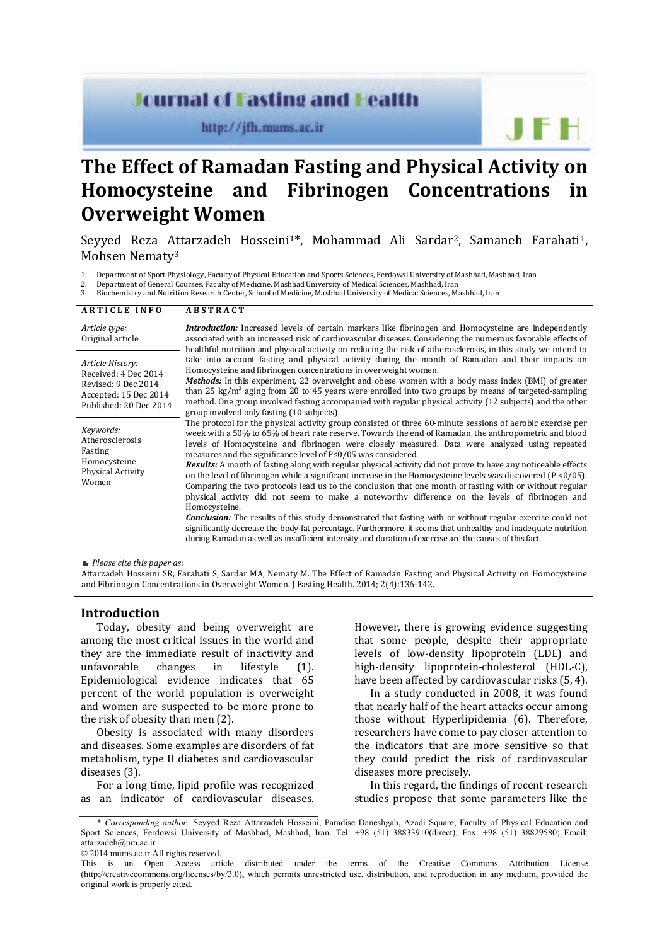# **Journal of Fasting and Health**

http://jfh.mums.ac.ir

**The Effect of Ramadan Fasting and Physical Activity on Homocysteine and Fibrinogen Concentrations in Overweight Women** 

Seyyed Reza Attarzadeh Hosseini<sup>1\*</sup>, Mohammad Ali Sardar<sup>2</sup>, Samaneh Farahati<sup>1</sup>, Mohsen Nematy3

1. Department of Sport Physiology, Faculty of Physical Education and Sports Sciences, Ferdowsi University of Mashhad, Mashhad, Iran

2. Department of General Courses, Faculty of Medicine, Mashhad University of Medical Sciences, Mashhad, Iran

3. Biochemistry and Nutrition Research Center, School of Medicine, Mashhad University of Medical Sciences, Mashhad, Iran

#### **A R T I C L E I N F O A B S T R A C T**  *Article type:* Original article *Introduction:* Increased levels of certain markers like fibrinogen and Homocysteine are independently associated with an increased risk of cardiovascular diseases. Considering the numerous favorable effects of healthful nutrition and physical activity on reducing the risk of atherosclerosis, in this study we intend to take into account fasting and physical activity during the month of Ramadan and their impacts on Homocysteine and fibrinogen concentrations in overweight women. *Methods:* In this experiment, 22 overweight and obese women with a body mass index (BMI) of greater than 25 kg/m<sup>2</sup> aging from 20 to 45 years were enrolled into two groups by means of targeted-sampling method. One group involved fasting accompanied with regular physical activity (12 subjects) and the other group involved only fasting (10 subjects). The protocol for the physical activity group consisted of three 60-minute sessions of aerobic exercise per week with a 50% to 65% of heart rate reserve. Towards the end of Ramadan, the anthropometric and blood levels of Homocysteine and fibrinogen were closely measured. Data were analyzed using repeated measures and the significance level of P≤0/05 was considered. *Results:* A month of fasting along with regular physical activity did not prove to have any noticeable effects on the level of fibrinogen while a significant increase in the Homocysteine levels was discovered (P <0/05). Comparing the two protocols lead us to the conclusion that one month of fasting with or without regular physical activity did not seem to make a noteworthy difference on the levels of fibrinogen and Homocysteine. *Conclusion:* The results of this study demonstrated that fasting with or without regular exercise could not significantly decrease the body fat percentage. Furthermore, it seems that unhealthy and inadequate nutrition during Ramadan as well as insufficient intensity and duration of exercise are the causes of this fact. *Article History:* Received: 4 Dec 2014 Revised: 9 Dec 2014 Accepted: 15 Dec 2014 Published: 20 Dec 2014 *Keywords:* Atherosclerosis Fasting Homocysteine Physical Activity Women

*Please cite this paper as*:

Attarzadeh Hosseini SR, Farahati S, Sardar MA, Nematy M. The Effect of Ramadan Fasting and Physical Activity on Homocysteine and Fibrinogen Concentrations in Overweight Women. J Fasting Health. 2014; 2(4):136-142.

# **Introduction**

Today, obesity and being overweight are among the most critical issues in the world and they are the immediate result of inactivity and unfavorable changes in lifestyle (1). Epidemiological evidence indicates that 65 percent of the world population is overweight and women are suspected to be more prone to the risk of obesity than men (2).

Obesity is associated with many disorders and diseases. Some examples are disorders of fat metabolism, type II diabetes and cardiovascular diseases (3).

For a long time, lipid profile was recognized as an indicator of cardiovascular diseases. However, there is growing evidence suggesting that some people, despite their appropriate levels of low-density lipoprotein (LDL) and high-density lipoprotein-cholesterol (HDL-C), have been affected by cardiovascular risks (5, 4).

J F H

In a study conducted in 2008, it was found that nearly half of the heart attacks occur among those without Hyperlipidemia (6). Therefore, researchers have come to pay closer attention to the indicators that are more sensitive so that they could predict the risk of cardiovascular diseases more precisely.

In this regard, the findings of recent research studies propose that some parameters like the

<sup>\*</sup> *Corresponding author:* Seyyed Reza Attarzadeh Hosseini, Paradise Daneshgah, Azadi Square, Faculty of Physical Education and Sport Sciences, Ferdowsi University of Mashhad, Mashhad, Iran. Tel: +98 (51) 38833910(direct); Fax: +98 (51) 38829580; Email: attarzadeh@um.ac.ir

<sup>© 2014</sup> mums.ac.ir All rights reserved. distributed under the terms of the Creative Commons Attribution License (http://creativecommons.org/licenses/by/3.0), which permits unrestricted use, distribution, and reproduction in any medium, provided the original work is properly cited.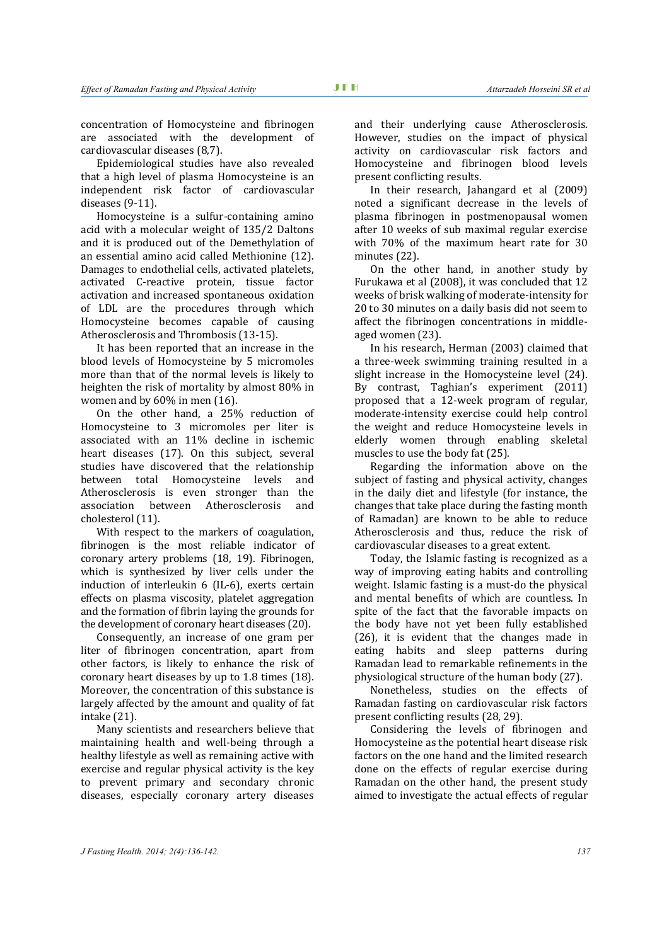concentration of Homocysteine and fibrinogen are associated with the development of cardiovascular diseases (8,7).

Epidemiological studies have also revealed that a high level of plasma Homocysteine is an independent risk factor of cardiovascular diseases (9-11).

Homocysteine is a sulfur-containing amino acid with a molecular weight of 135/2 Daltons and it is produced out of the Demethylation of an essential amino acid called Methionine (12). Damages to endothelial cells, activated platelets, activated C-reactive protein, tissue factor activation and increased spontaneous oxidation of LDL are the procedures through which Homocysteine becomes capable of causing Atherosclerosis and Thrombosis (13-15).

It has been reported that an increase in the blood levels of Homocysteine by 5 micromoles more than that of the normal levels is likely to heighten the risk of mortality by almost 80% in women and by 60% in men (16).

On the other hand, a 25% reduction of Homocysteine to 3 micromoles per liter is associated with an 11% decline in ischemic heart diseases (17). On this subject, several studies have discovered that the relationship between total Homocysteine levels and Atherosclerosis is even stronger than the association between Atherosclerosis and cholesterol (11).

With respect to the markers of coagulation, fibrinogen is the most reliable indicator of coronary artery problems (18, 19). Fibrinogen, which is synthesized by liver cells under the induction of interleukin 6 (IL-6), exerts certain effects on plasma viscosity, platelet aggregation and the formation of fibrin laying the grounds for the development of coronary heart diseases (20).

Consequently, an increase of one gram per liter of fibrinogen concentration, apart from other factors, is likely to enhance the risk of coronary heart diseases by up to 1.8 times (18). Moreover, the concentration of this substance is largely affected by the amount and quality of fat intake (21).

Many scientists and researchers believe that maintaining health and well-being through a healthy lifestyle as well as remaining active with exercise and regular physical activity is the key to prevent primary and secondary chronic diseases, especially coronary artery diseases and their underlying cause Atherosclerosis. However, studies on the impact of physical activity on cardiovascular risk factors and Homocysteine and fibrinogen blood levels present conflicting results.

In their research, Jahangard et al (2009) noted a significant decrease in the levels of plasma fibrinogen in postmenopausal women after 10 weeks of sub maximal regular exercise with 70% of the maximum heart rate for 30 minutes (22).

On the other hand, in another study by Furukawa et al (2008), it was concluded that 12 weeks of brisk walking of moderate-intensity for 20 to 30 minutes on a daily basis did not seem to affect the fibrinogen concentrations in middleaged women (23).

In his research, Herman (2003) claimed that a three-week swimming training resulted in a slight increase in the Homocysteine level (24). By contrast, Taghian's experiment (2011) proposed that a 12-week program of regular, moderate-intensity exercise could help control the weight and reduce Homocysteine levels in elderly women through enabling skeletal muscles to use the body fat (25).

Regarding the information above on the subject of fasting and physical activity, changes in the daily diet and lifestyle (for instance, the changes that take place during the fasting month of Ramadan) are known to be able to reduce Atherosclerosis and thus, reduce the risk of cardiovascular diseases to a great extent.

Today, the Islamic fasting is recognized as a way of improving eating habits and controlling weight. Islamic fasting is a must-do the physical and mental benefits of which are countless. In spite of the fact that the favorable impacts on the body have not yet been fully established (26), it is evident that the changes made in eating habits and sleep patterns during Ramadan lead to remarkable refinements in the physiological structure of the human body (27).

Nonetheless, studies on the effects of Ramadan fasting on cardiovascular risk factors present conflicting results (28, 29).

Considering the levels of fibrinogen and Homocysteine as the potential heart disease risk factors on the one hand and the limited research done on the effects of regular exercise during Ramadan on the other hand, the present study aimed to investigate the actual effects of regular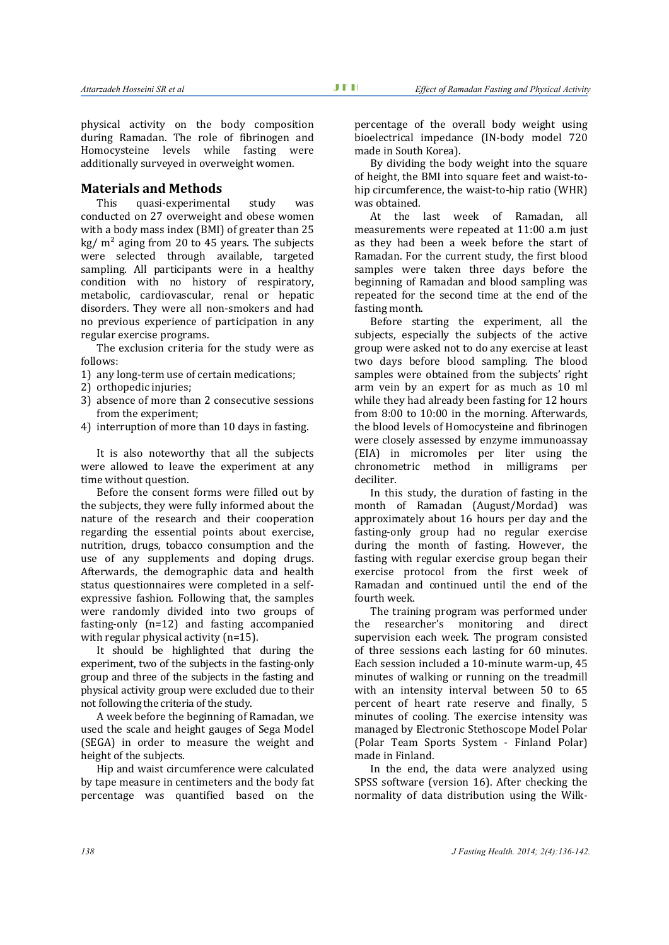physical activity on the body composition during Ramadan. The role of fibrinogen and Homocysteine levels while fasting were additionally surveyed in overweight women.

# **Materials and Methods**

This quasi-experimental study was conducted on 27 overweight and obese women with a body mass index (BMI) of greater than 25  $kg/m<sup>2</sup>$  aging from 20 to 45 years. The subjects were selected through available, targeted sampling. All participants were in a healthy condition with no history of respiratory, metabolic, cardiovascular, renal or hepatic disorders. They were all non-smokers and had no previous experience of participation in any regular exercise programs.

The exclusion criteria for the study were as follows:

- 1) any long-term use of certain medications;
- 2) orthopedic injuries;
- 3) absence of more than 2 consecutive sessions from the experiment;
- 4) interruption of more than 10 days in fasting.

It is also noteworthy that all the subjects were allowed to leave the experiment at any time without question.

Before the consent forms were filled out by the subjects, they were fully informed about the nature of the research and their cooperation regarding the essential points about exercise, nutrition, drugs, tobacco consumption and the use of any supplements and doping drugs. Afterwards, the demographic data and health status questionnaires were completed in a selfexpressive fashion. Following that, the samples were randomly divided into two groups of fasting-only (n=12) and fasting accompanied with regular physical activity (n=15).

It should be highlighted that during the experiment, two of the subjects in the fasting-only group and three of the subjects in the fasting and physical activity group were excluded due to their not following the criteria of the study.

A week before the beginning of Ramadan, we used the scale and height gauges of Sega Model (SEGA) in order to measure the weight and height of the subjects.

Hip and waist circumference were calculated by tape measure in centimeters and the body fat percentage was quantified based on the percentage of the overall body weight using bioelectrical impedance (IN-body model 720 made in South Korea).

By dividing the body weight into the square of height, the BMI into square feet and waist-tohip circumference, the waist-to-hip ratio (WHR) was obtained.

At the last week of Ramadan, all measurements were repeated at 11:00 a.m just as they had been a week before the start of Ramadan. For the current study, the first blood samples were taken three days before the beginning of Ramadan and blood sampling was repeated for the second time at the end of the fasting month.

Before starting the experiment, all the subjects, especially the subjects of the active group were asked not to do any exercise at least two days before blood sampling. The blood samples were obtained from the subjects' right arm vein by an expert for as much as 10 ml while they had already been fasting for 12 hours from 8:00 to 10:00 in the morning. Afterwards, the blood levels of Homocysteine and fibrinogen were closely assessed by enzyme immunoassay (EIA) in micromoles per liter using the chronometric method in milligrams per deciliter.

In this study, the duration of fasting in the month of Ramadan (August/Mordad) was approximately about 16 hours per day and the fasting-only group had no regular exercise during the month of fasting. However, the fasting with regular exercise group began their exercise protocol from the first week of Ramadan and continued until the end of the fourth week.

The training program was performed under the researcher's monitoring and direct supervision each week. The program consisted of three sessions each lasting for 60 minutes. Each session included a 10-minute warm-up, 45 minutes of walking or running on the treadmill with an intensity interval between 50 to 65 percent of heart rate reserve and finally, 5 minutes of cooling. The exercise intensity was managed by Electronic Stethoscope Model Polar (Polar Team Sports System - Finland Polar) made in Finland.

In the end, the data were analyzed using SPSS software (version 16). After checking the normality of data distribution using the Wilk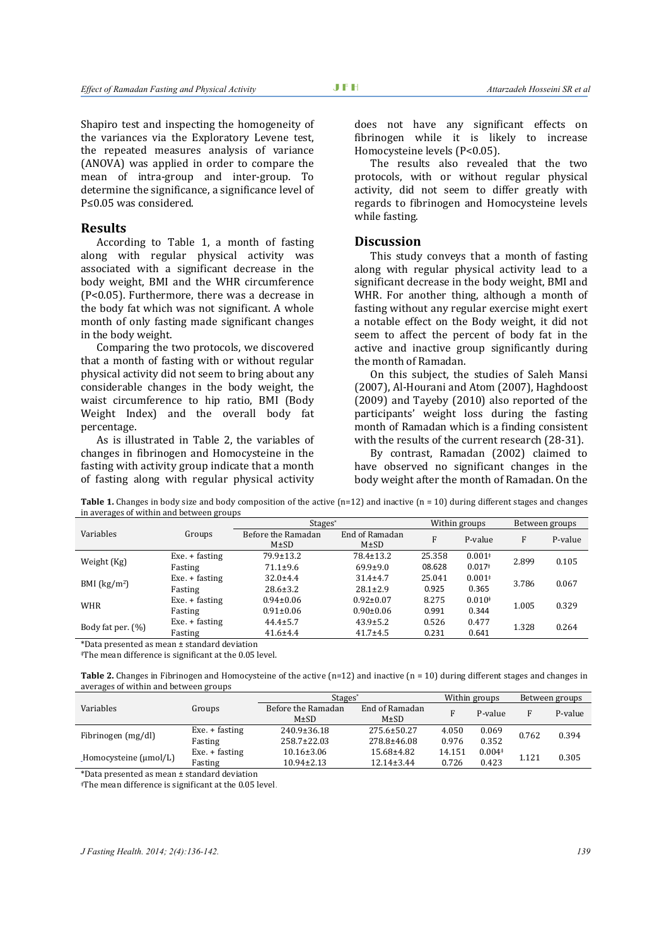Shapiro test and inspecting the homogeneity of the variances via the Exploratory Levene test, the repeated measures analysis of variance (ANOVA) was applied in order to compare the mean of intra-group and inter-group. To determine the significance, a significance level of P≤0.05 was considered.

# **Results**

According to Table 1, a month of fasting along with regular physical activity was associated with a significant decrease in the body weight, BMI and the WHR circumference (P<0.05). Furthermore, there was a decrease in the body fat which was not significant. A whole month of only fasting made significant changes in the body weight.

Comparing the two protocols, we discovered that a month of fasting with or without regular physical activity did not seem to bring about any considerable changes in the body weight, the waist circumference to hip ratio, BMI (Body Weight Index) and the overall body fat percentage.

As is illustrated in Table 2, the variables of changes in fibrinogen and Homocysteine in the fasting with activity group indicate that a month of fasting along with regular physical activity

does not have any significant effects on fibrinogen while it is likely to increase Homocysteine levels (P<0.05).

The results also revealed that the two protocols, with or without regular physical activity, did not seem to differ greatly with regards to fibrinogen and Homocysteine levels while fasting.

# **Discussion**

This study conveys that a month of fasting along with regular physical activity lead to a significant decrease in the body weight, BMI and WHR. For another thing, although a month of fasting without any regular exercise might exert a notable effect on the Body weight, it did not seem to affect the percent of body fat in the active and inactive group significantly during the month of Ramadan.

On this subject, the studies of Saleh Mansi (2007), Al-Hourani and Atom (2007), Haghdoost (2009) and Tayeby (2010) also reported of the participants' weight loss during the fasting month of Ramadan which is a finding consistent with the results of the current research (28-31).

By contrast, Ramadan (2002) claimed to have observed no significant changes in the body weight after the month of Ramadan. On the

**Table 1.** Changes in body size and body composition of the active  $(n=12)$  and inactive  $(n = 10)$  during different stages and changes in averages of within and between groups

|                   | Groups           | Stages*            |                 | Within groups |          | Between groups |         |
|-------------------|------------------|--------------------|-----------------|---------------|----------|----------------|---------|
| Variables         |                  | Before the Ramadan | End of Ramadan  | F             | P-value  | F              | P-value |
|                   |                  | $M\pm SD$          | $M\pm SD$       |               |          |                |         |
| Weight (Kg)       | Exe. + fasting   | 79.9±13.2          | $78.4 \pm 13.2$ | 25.358        | $0.001*$ | 2.899          | 0.105   |
|                   | Fasting          | $71.1 \pm 9.6$     | $69.9 \pm 9.0$  | 08.628        | $0.017*$ |                |         |
| BMI $(kg/m2)$     | Exe. + fasting   | $32.0 + 4.4$       | $31.4 + 4.7$    | 25.041        | $0.001*$ | 3.786          | 0.067   |
|                   | Fasting          | $28.6 \pm 3.2$     | $28.1 \pm 2.9$  | 0.925         | 0.365    |                |         |
| <b>WHR</b>        | $Exe. + fasting$ | $0.94 \pm 0.06$    | $0.92 \pm 0.07$ | 8.275         | $0.010*$ | 1.005          | 0.329   |
|                   | Fasting          | $0.91 \pm 0.06$    | $0.90 \pm 0.06$ | 0.991         | 0.344    |                |         |
| Body fat per. (%) | Exe. + fasting   | $44.4 \pm 5.7$     | $43.9 \pm 5.2$  | 0.526         | 0.477    | 1.328          | 0.264   |
|                   | Fasting          | $41.6 \pm 4.4$     | $41.7 \pm 4.5$  | 0.231         | 0.641    |                |         |

\*Data presented as mean ± standard deviation

‡The mean difference is significant at the 0.05 level.

Table 2. Changes in Fibrinogen and Homocysteine of the active (n=12) and inactive (n = 10) during different stages and changes in averages of within and between groups

|                            |                  | Stages <sup>*</sup> |                  | Within groups |          | Between groups |         |
|----------------------------|------------------|---------------------|------------------|---------------|----------|----------------|---------|
| Variables                  | Groups           | Before the Ramadan  | End of Ramadan   |               | P-value  | F              | P-value |
|                            |                  | $M\pm SD$           | $M\pm SD$        |               |          |                |         |
| Fibrinogen (mg/dl)         | Exe. + fasting   | 240.9±36.18         | 275.6±50.27      | 4.050         | 0.069    | 0.762          | 0.394   |
|                            | Fasting          | 258.7±22.03         | 278.8±46.08      | 0.976         | 0.352    |                |         |
|                            | $Exe. + fasting$ | $10.16 \pm 3.06$    | $15.68 \pm 4.82$ | 14.151        | $0.004*$ | 1.121          | 0.305   |
| Homocysteine $(\mu$ mol/L) | Fasting          | $10.94 \pm 2.13$    | 12.14±3.44       | 0.726         | 0.423    |                |         |
|                            |                  |                     |                  |               |          |                |         |

\*Data presented as mean ± standard deviation

‡The mean difference is significant at the 0.05 level.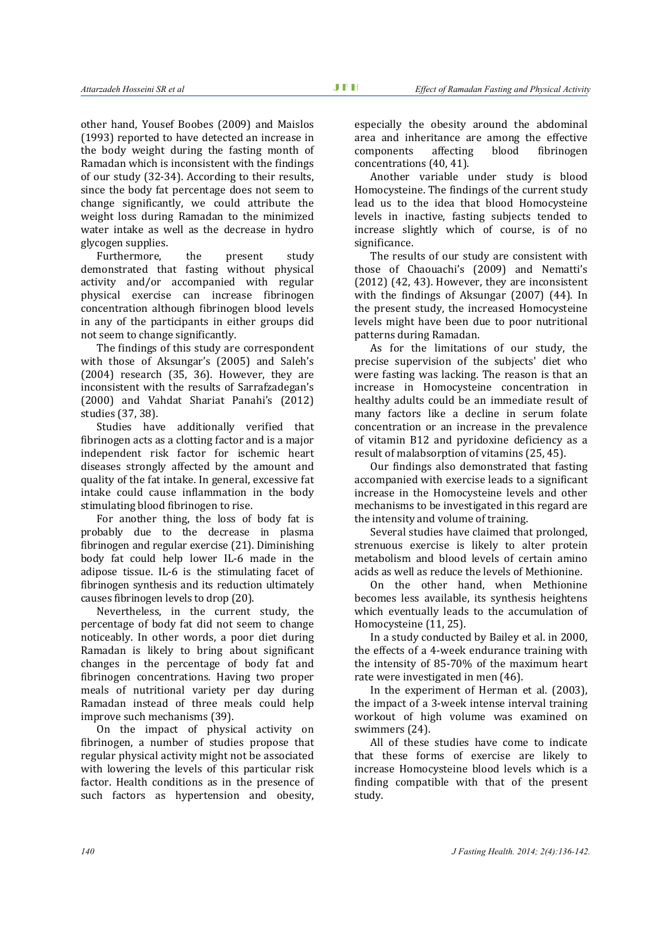other hand, Yousef Boobes (2009) and Maislos (1993) reported to have detected an increase in the body weight during the fasting month of Ramadan which is inconsistent with the findings of our study (32-34). According to their results, since the body fat percentage does not seem to change significantly, we could attribute the weight loss during Ramadan to the minimized water intake as well as the decrease in hydro glycogen supplies.

Furthermore, the present study demonstrated that fasting without physical activity and/or accompanied with regular physical exercise can increase fibrinogen concentration although fibrinogen blood levels in any of the participants in either groups did not seem to change significantly.

The findings of this study are correspondent with those of Aksungar's (2005) and Saleh's (2004) research (35, 36). However, they are inconsistent with the results of Sarrafzadegan's (2000) and Vahdat Shariat Panahi's (2012) studies (37, 38).

Studies have additionally verified that fibrinogen acts as a clotting factor and is a major independent risk factor for ischemic heart diseases strongly affected by the amount and quality of the fat intake. In general, excessive fat intake could cause inflammation in the body stimulating blood fibrinogen to rise.

For another thing, the loss of body fat is probably due to the decrease in plasma fibrinogen and regular exercise (21). Diminishing body fat could help lower IL-6 made in the adipose tissue. IL-6 is the stimulating facet of fibrinogen synthesis and its reduction ultimately causes fibrinogen levels to drop (20).

Nevertheless, in the current study, the percentage of body fat did not seem to change noticeably. In other words, a poor diet during Ramadan is likely to bring about significant changes in the percentage of body fat and fibrinogen concentrations. Having two proper meals of nutritional variety per day during Ramadan instead of three meals could help improve such mechanisms (39).

On the impact of physical activity on fibrinogen, a number of studies propose that regular physical activity might not be associated with lowering the levels of this particular risk factor. Health conditions as in the presence of such factors as hypertension and obesity,

especially the obesity around the abdominal area and inheritance are among the effective components affecting blood fibrinogen concentrations (40, 41).

Another variable under study is blood Homocysteine. The findings of the current study lead us to the idea that blood Homocysteine levels in inactive, fasting subjects tended to increase slightly which of course, is of no significance.

The results of our study are consistent with those of Chaouachi's (2009) and Nematti's (2012) (42, 43). However, they are inconsistent with the findings of Aksungar (2007) (44). In the present study, the increased Homocysteine levels might have been due to poor nutritional patterns during Ramadan.

As for the limitations of our study, the precise supervision of the subjects' diet who were fasting was lacking. The reason is that an increase in Homocysteine concentration in healthy adults could be an immediate result of many factors like a decline in serum folate concentration or an increase in the prevalence of vitamin B12 and pyridoxine deficiency as a result of malabsorption of vitamins (25, 45).

Our findings also demonstrated that fasting accompanied with exercise leads to a significant increase in the Homocysteine levels and other mechanisms to be investigated in this regard are the intensity and volume of training.

Several studies have claimed that prolonged, strenuous exercise is likely to alter protein metabolism and blood levels of certain amino acids as well as reduce the levels of Methionine.

On the other hand, when Methionine becomes less available, its synthesis heightens which eventually leads to the accumulation of Homocysteine (11, 25).

In a study conducted by Bailey et al. in 2000, the effects of a 4-week endurance training with the intensity of 85-70% of the maximum heart rate were investigated in men (46).

In the experiment of Herman et al. (2003), the impact of a 3-week intense interval training workout of high volume was examined on swimmers (24).

All of these studies have come to indicate that these forms of exercise are likely to increase Homocysteine blood levels which is a finding compatible with that of the present study.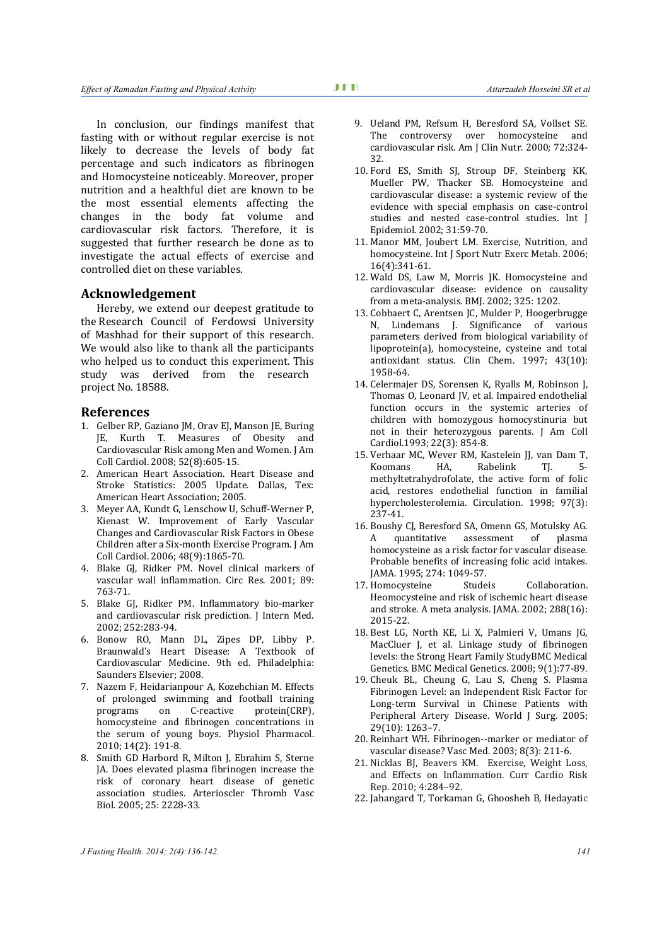In conclusion, our findings manifest that fasting with or without regular exercise is not likely to decrease the levels of body fat percentage and such indicators as fibrinogen and Homocysteine noticeably. Moreover, proper nutrition and a healthful diet are known to be the most essential elements affecting the changes in the body fat volume and cardiovascular risk factors. Therefore, it is suggested that further research be done as to investigate the actual effects of exercise and controlled diet on these variables.

# **Acknowledgement**

Hereby, we extend our deepest gratitude to the Research Council of Ferdowsi University of Mashhad for their support of this research. We would also like to thank all the participants who helped us to conduct this experiment. This study was derived from the research project No. 18588.

#### **References**

- 1. Gelber RP, Gaziano JM, Orav EJ, Manson JE, Buring JE, Kurth T. Measures of Obesity and Cardiovascular Risk among Men and Women. J Am Coll Cardiol. 2008; 52(8):605-15.
- 2. American Heart Association. Heart Disease and Stroke Statistics: 2005 Update. Dallas, Tex: American Heart Association; 2005.
- 3. Meyer AA, Kundt G, Lenschow U, Schuff-Werner P, Kienast W. Improvement of Early Vascular Changes and Cardiovascular Risk Factors in Obese Children after a Six-month Exercise Program. J Am Coll Cardiol. 2006; 48(9):1865-70.
- 4. Blake GJ, Ridker PM. Novel clinical markers of vascular wall inflammation. Circ Res. 2001; 89: 763-71.
- 5. Blake GJ, Ridker PM. Inflammatory bio-marker and cardiovascular risk prediction. J Intern Med. 2002; 252:283-94.
- 6. Bonow RO, Mann DL, Zipes DP, Libby P. Braunwald's Heart Disease: A Textbook of Cardiovascular Medicine. 9th ed. Philadelphia: Saunders Elsevier; 2008.
- 7. Nazem F, Heidarianpour A, Kozehchian M. Effects of prolonged swimming and football training programs on C-reactive protein(CRP), homocysteine and fibrinogen concentrations in the serum of young boys. Physiol Pharmacol. 2010; 14(2): 191-8.
- 8. Smith GD Harbord R, Milton J, Ebrahim S, Sterne JA. Does elevated plasma fibrinogen increase the risk of coronary heart disease of genetic association studies. Arterioscler Thromb Vasc Biol. 2005; 25: 2228-33.
- 9. Ueland PM, Refsum H, Beresford SA, Vollset SE. The controversy over homocysteine and cardiovascular risk. Am J Clin Nutr. 2000; 72:324- 32.
- 10. Ford ES, Smith SJ, Stroup DF, Steinberg KK, Mueller PW, Thacker SB. Homocysteine and cardiovascular disease: a systemic review of the evidence with special emphasis on case-control studies and nested case-control studies. Int J Epidemiol. 2002; 31:59-70.
- 11. Manor MM, Joubert LM. Exercise, Nutrition, and homocysteine. Int J Sport Nutr Exerc Metab. 2006; 16(4):341-61.
- 12. Wald DS, Law M, Morris JK. Homocysteine and cardiovascular disease: evidence on causality from a meta-analysis. BMJ. 2002; 325: 1202.
- 13. Cobbaert C, Arentsen JC, Mulder P, Hoogerbrugge N, Lindemans J. Significance of various parameters derived from biological variability of lipoprotein(a), homocysteine, cysteine and total antioxidant status. Clin Chem. 1997; 43(10): 1958-64.
- 14. Celermajer DS, Sorensen K, Ryalls M, Robinson J, Thomas O, Leonard JV, et al. Impaired endothelial function occurs in the systemic arteries of children with homozygous homocystinuria but not in their heterozygous parents. J Am Coll Cardiol.1993; 22(3): 854-8.
- 15. Verhaar MC, Wever RM, Kastelein JJ, van Dam T, Koomans HA, Rabelink TI, 5methyltetrahydrofolate, the active form of folic acid, restores endothelial function in familial hypercholesterolemia. Circulation. 1998; 97(3): 237-41.
- 16. Boushy CJ, Beresford SA, Omenn GS, Motulsky AG. A quantitative assessment of plasma homocysteine as a risk factor for vascular disease. Probable benefits of increasing folic acid intakes. JAMA. 1995; 274: 1049-57.
- 17. Homocysteine Studeis Collaboration. Heomocysteine and risk of ischemic heart disease and stroke. A meta analysis. JAMA. 2002; 288(16): 2015-22.
- 18. Best LG, North KE, Li X, Palmieri V, Umans JG, MacCluer J, et al. Linkage study of fibrinogen levels: the Strong Heart Family StudyBMC Medical Genetics. BMC Medical Genetics. 2008; 9(1):77-89.
- 19. Cheuk BL, Cheung G, Lau S, Cheng S. Plasma Fibrinogen Level: an Independent Risk Factor for Long-term Survival in Chinese Patients with Peripheral Artery Disease. World J Surg. 2005; 29(10): 1263–7.
- 20. Reinhart WH. Fibrinogen--marker or mediator of vascular disease? Vasc Med. 2003; 8(3): 211-6.
- 21. Nicklas BJ, Beavers KM. Exercise, Weight Loss, and Effects on Inflammation. Curr Cardio Risk Rep. 2010; 4:284–92.
- 22. Jahangard T, Torkaman G, Ghoosheh B, Hedayatic